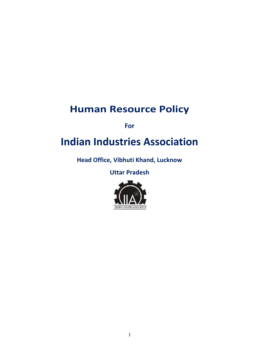# **Human Resource Policy**

**For**

# **Indian Industries Association**

**Head Office, Vibhuti Khand, Lucknow**

**Uttar Pradesh**

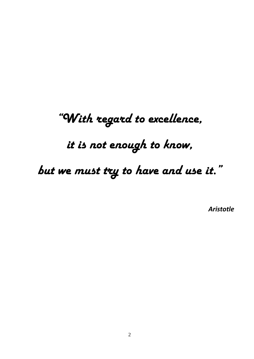# *"With regard to excellence,*

*it is not enough to know,*

*but we must try to have and use it."*

*Aristotle*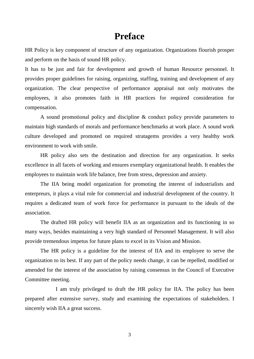# **Preface**

HR Policy is key component of structure of any organization. Organizations flourish prosper and perform on the basis of sound HR policy.

It has to be just and fair for development and growth of human Resource personnel. It provides proper guidelines for raising, organizing, staffing, training and development of any organization. The clear perspective of performance appraisal not only motivates the employees, it also promotes faith in HR practices for required consideration for compensation.

A sound promotional policy and discipline & conduct policy provide parameters to maintain high standards of morals and performance benchmarks at work place. A sound work culture developed and promoted on required stratagems provides a very healthy work environment to work with smile.

HR policy also sets the destination and direction for any organization. It seeks excellence in all facets of working and ensures exemplary organizational health. It enables the employees to maintain work life balance, free from stress, depression and anxiety.

The IIA being model organization for promoting the interest of industrialists and enterpreurs, it plays a vital role for commercial and industrial development of the country. It requires a dedicated team of work force for performance in pursuant to the ideals of the association.

The drafted HR policy will benefit IIA as an organization and its functioning in so many ways, besides maintaining a very high standard of Personnel Management. It will also provide tremendous impetus for future plans to excel in its Vision and Mission.

The HR policy is a guideline for the interest of IIA and its employee to serve the organization to its best. If any part of the policy needs change, it can be repelled, modified or amended for the interest of the association by raising consensus in the Council of Executive Committee meeting.

I am truly privileged to draft the HR policy for IIA. The policy has been prepared after extensive survey, study and examining the expectations of stakeholders. I sincerely wish IIA a great success.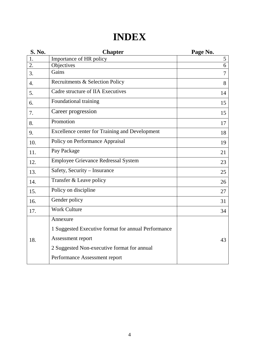# **INDEX**

| <b>S. No.</b>    | <b>Chapter</b>                                        | Page No. |
|------------------|-------------------------------------------------------|----------|
| 1.               | Importance of HR policy                               | 5        |
| 2.               | Objectives                                            | 6        |
| 3.               | Gains                                                 | 7        |
| $\overline{4}$ . | Recruitments & Selection Policy                       | 8        |
| 5.               | Cadre structure of IIA Executives                     | 14       |
| 6.               | Foundational training                                 | 15       |
| 7.               | Career progression                                    | 15       |
| 8.               | Promotion                                             | 17       |
| 9.               | <b>Excellence center for Training and Development</b> | 18       |
| 10.              | Policy on Performance Appraisal                       | 19       |
| 11.              | Pay Package                                           | 21       |
| 12.              | <b>Employee Grievance Redressal System</b>            | 23       |
| 13.              | Safety, Security - Insurance                          | 25       |
| 14.              | Transfer & Leave policy                               | 26       |
| 15.              | Policy on discipline                                  | 27       |
| 16.              | Gender policy                                         | 31       |
| 17.              | <b>Work Culture</b>                                   | 34       |
|                  | Annexure                                              |          |
|                  | 1 Suggested Executive format for annual Performance   |          |
| 18.              | Assessment report                                     | 43       |
|                  | 2 Suggested Non-executive format for annual           |          |
|                  | Performance Assessment report                         |          |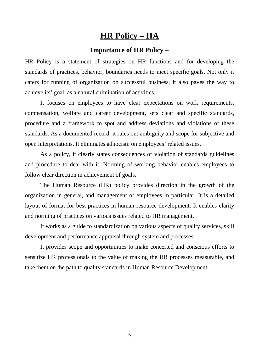# **HR Policy – IIA**

# **Importance of HR Policy** –

HR Policy is a statement of strategies on HR functions and for developing the standards of practices, behavior, boundaries needs to meet specific goals. Not only it caters for running of organization on successful business, it also paves the way to achieve its' goal, as a natural culmination of activities.

It focuses on employees to have clear expectations on work requirements, compensation, welfare and career development, sets clear and specific standards, procedure and a framework to spot and address deviations and violations of these standards. As a documented record, it rules out ambiguity and scope for subjective and open interpretations. It eliminates adhocism on employees' related issues.

As a policy, it clearly states consequences of violation of standards guidelines and procedure to deal with it. Norming of working behavior enables employees to follow clear direction in achievement of goals.

The Human Resource (HR) policy provides direction in the growth of the organization in general, and management of employees in particular. It is a detailed layout of format for best practices in human resource development. It enables clarity and norming of practices on various issues related to HR management.

It works as a guide to standardization on various aspects of quality services, skill development and performance appraisal through system and processes.

It provides scope and opportunities to make concerted and conscious efforts to sensitize HR professionals to the value of making the HR processes measurable, and take them on the path to quality standards in Human Resource Development.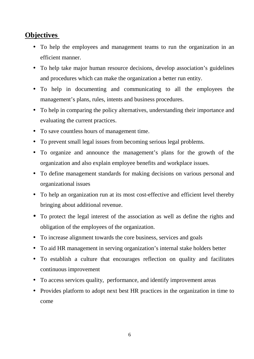# **Objectives**

- To help the employees and management teams to run the organization in an efficient manner.
- To help take major human resource decisions, develop association's guidelines and procedures which can make the organization a better run entity.
- To help in documenting and communicating to all the employees the management's plans, rules, intents and business procedures.
- To help in comparing the policy alternatives, understanding their importance and evaluating the current practices.
- To save countless hours of management time.
- To prevent small legal issues from becoming serious legal problems.
- To organize and announce the management's plans for the growth of the organization and also explain employee benefits and workplace issues.
- To define management standards for making decisions on various personal and organizational issues
- To help an organization run at its most cost-effective and efficient level thereby bringing about additional revenue.
- To protect the legal interest of the association as well as define the rights and obligation of the employees of the organization.
- To increase alignment towards the core business, services and goals
- To aid HR management in serving organization's internal stake holders better
- To establish a culture that encourages reflection on quality and facilitates continuous improvement
- To access services quality, performance, and identify improvement areas
- Provides platform to adopt next best HR practices in the organization in time to come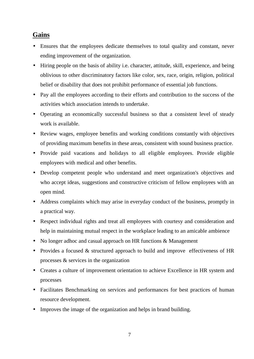# **Gains**

- Ensures that the employees dedicate themselves to total quality and constant, never ending improvement of the organization.
- Hiring people on the basis of ability i.e. character, attitude, skill, experience, and being oblivious to other discriminatory factors like color, sex, race, origin, religion, political belief or disability that does not prohibit performance of essential job functions.
- Pay all the employees according to their efforts and contribution to the success of the activities which association intends to undertake.
- Operating an economically successful business so that a consistent level of steady work is available.
- Review wages, employee benefits and working conditions constantly with objectives of providing maximum benefits in these areas, consistent with sound business practice.
- Provide paid vacations and holidays to all eligible employees. Provide eligible employees with medical and other benefits.
- Develop competent people who understand and meet organization's objectives and who accept ideas, suggestions and constructive criticism of fellow employees with an open mind.
- Address complaints which may arise in everyday conduct of the business, promptly in a practical way.
- Respect individual rights and treat all employees with courtesy and consideration and help in maintaining mutual respect in the workplace leading to an amicable ambience
- No longer adhoc and casual approach on HR functions & Management
- Provides a focused & structured approach to build and improve effectiveness of HR processes & services in the organization
- Creates a culture of improvement orientation to achieve Excellence in HR system and processes
- Facilitates Benchmarking on services and performances for best practices of human resource development.
- Improves the image of the organization and helps in brand building.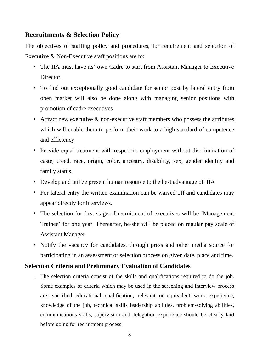# **Recruitments & Selection Policy**

The objectives of staffing policy and procedures, for requirement and selection of Executive & Non-Executive staff positions are to:

- The IIA must have its' own Cadre to start from Assistant Manager to Executive Director.
- To find out exceptionally good candidate for senior post by lateral entry from open market will also be done along with managing senior positions with promotion of cadre executives
- Attract new executive  $\&$  non-executive staff members who possess the attributes which will enable them to perform their work to a high standard of competence and efficiency
- Provide equal treatment with respect to employment without discrimination of caste, creed, race, origin, color, ancestry, disability, sex, gender identity and family status.
- Develop and utilize present human resource to the best advantage of IIA
- For lateral entry the written examination can be waived off and candidates may appear directly for interviews.
- The selection for first stage of recruitment of executives will be 'Management Trainee' for one year. Thereafter, he/she will be placed on regular pay scale of Assistant Manager.
- Notify the vacancy for candidates, through press and other media source for participating in an assessment or selection process on given date, place and time.

#### **Selection Criteria and Preliminary Evaluation of Candidates**

1. The selection criteria consist of the skills and qualifications required to do the job. Some examples of criteria which may be used in the screening and interview process are: specified educational qualification, relevant or equivalent work experience, knowledge of the job, technical skills leadership abilities, problem-solving abilities, communications skills, supervision and delegation experience should be clearly laid before going for recruitment process.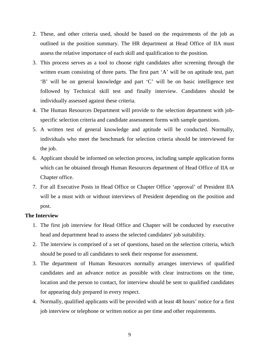- 2. These, and other criteria used, should be based on the requirements of the job as outlined in the position summary. The HR department at Head Office of IIA must assess the relative importance of each skill and qualification to the position.
- 3. This process serves as a tool to choose right candidates after screening through the written exam consisting of three parts. The first part 'A' will be on aptitude test, part 'B' will be on general knowledge and part 'C' will be on basic intelligence test followed by Technical skill test and finally interview. Candidates should be individually assessed against these criteria.
- 4. The Human Resources Department will provide to the selection department with job specific selection criteria and candidate assessment forms with sample questions.
- 5. A written test of general knowledge and aptitude will be conducted. Normally, individuals who meet the benchmark for selection criteria should be interviewed for the job.
- 6. Applicant should be informed on selection process, including sample application forms which can be obtained through Human Resources department of Head Office of IIA or Chapter office.
- 7. For all Executive Posts in Head Office or Chapter Office 'approval' of President IIA will be a must with or without interviews of President depending on the position and post.

#### **The Interview**

- 1. The first job interview for Head Office and Chapter will be conducted by executive head and department head to assess the selected candidates' job suitability.
- 2. The interview is comprised of a set of questions, based on the selection criteria, which should be posed to all candidates to seek their response for assessment.
- 3. The department of Human Resources normally arranges interviews of qualified candidates and an advance notice as possible with clear instructions on the time, location and the person to contact, for interview should be sent to qualified candidates for appearing duly prepared in every respect.
- 4. Normally, qualified applicants will be provided with at least 48 hours' notice for a first job interview or telephone or written notice as per time and other requirements.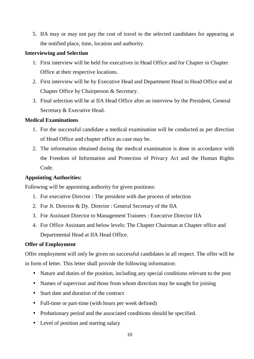5. IIA may or may not pay the cost of travel to the selected candidates for appearing at the notified place, time, location and authority.

#### **Interviewing and Selection**

- 1. First interview will be held for executives in Head Office and for Chapter in Chapter Office at their respective locations.
- 2. First interview will be by Executive Head and Department Head in Head Office and at Chapter Office by Chairperson & Secretary.
- 3. Final selection will be at IIA Head Office after an interview by the President, General Secretary & Executive Head.

#### **Medical Examinations**

- 1. For the successful candidate a medical examination will be conducted as per direction of Head Office and chapter office as case may be.
- 2. The information obtained during the medical examination is done in accordance with the Freedom of Information and Protection of Privacy Act and the Human Rights Code.

#### **Appointing Authorities:**

Following will be appointing authority for given positions:

- 1. For executive Director : The president with due process of selection
- 2. For Jt. Director & Dy. Director : General Secretary of the IIA
- 3. For Assistant Director to Management Trainees : Executive Director IIA
- 4. For Office Assistant and below levels: The Chapter Chairman at Chapter office and Departmental Head at IIA Head Office.

# **Offer of Employment**

Offer employment will only be given on successful candidates in all respect. The offer will be in form of letter. This letter shall provide the following information:

- Nature and duties of the position, including any special conditions relevant to the post
- Names of supervisor and those from whom direction may be sought for joining
- Start date and duration of the contract
- Full-time or part-time (with hours per week defined)
- Probationary period and the associated conditions should be specified.
- Level of position and starting salary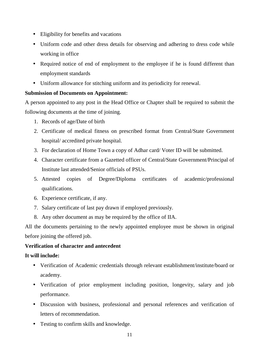- Eligibility for benefits and vacations
- Uniform code and other dress details for observing and adhering to dress code while working in office
- Required notice of end of employment to the employee if he is found different than employment standards
- Uniform allowance for stitching uniform and its periodicity for renewal.

#### **Submission of Documents on Appointment:**

A person appointed to any post in the Head Office or Chapter shall be required to submit the following documents at the time of joining.

- 1. Records of age/Date of birth
- 2. Certificate of medical fitness on prescribed format from Central/State Government hospital/ accredited private hospital.
- 3. For declaration of Home Town a copy of Adhar card/ Voter ID will be submitted.
- 4. Character certificate from a Gazetted officer of Central/State Government/Principal of Institute last attended/Senior officials of PSUs.
- 5. Attested copies of Degree/Diploma certificates of academic/professional qualifications.
- 6. Experience certificate, if any.
- 7. Salary certificate of last pay drawn if employed previously.
- 8. Any other document as may be required by the office of IIA.

All the documents pertaining to the newly appointed employee must be shown in original before joining the offered job.

#### **Verification of character and antecedent**

#### **It will include:**

- Verification of Academic credentials through relevant establishment/institute/board or academy.
- Verification of prior employment including position, longevity, salary and job performance.
- Discussion with business, professional and personal references and verification of letters of recommendation.
- Testing to confirm skills and knowledge.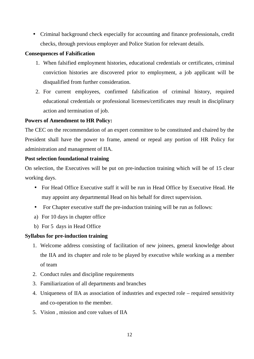• Criminal background check especially for accounting and finance professionals, credit checks, through previous employer and Police Station for relevant details.

#### **Consequences of Falsification**

- 1. When falsified employment histories, educational credentials or certificates, criminal conviction histories are discovered prior to employment, a job applicant will be disqualified from further consideration.
- 2. For current employees, confirmed falsification of criminal history, required educational credentials or professional licenses/certificates may result in disciplinary action and termination of job.

#### **Powers of Amendment to HR Policy:**

The CEC on the recommendation of an expert committee to be constituted and chaired by the President shall have the power to frame, amend or repeal any portion of HR Policy for administration and management of IIA.

#### **Post selection foundational training**

On selection, the Executives will be put on pre-induction training which will be of 15 clear working days.

- For Head Office Executive staff it will be run in Head Office by Executive Head. He may appoint any departmental Head on his behalf for direct supervision.
- For Chapter executive staff the pre-induction training will be run as follows:
- a) For 10 days in chapter office
- b) For 5 days in Head Office

#### **Syllabus for pre-induction training**

- 1. Welcome address consisting of facilitation of new joinees, general knowledge about the IIA and its chapter and role to be played by executive while working as a member of team
- 2. Conduct rules and discipline requirements
- 3. Familiarization of all departments and branches
- 4. Uniqueness of IIA as association of industries and expected role required sensitivity and co-operation to the member.
- 5. Vision , mission and core values of IIA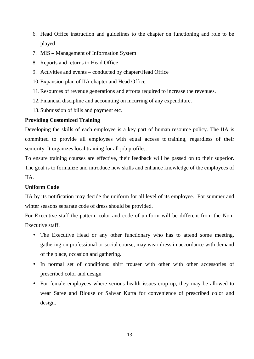- 6. Head Office instruction and guidelines to the chapter on functioning and role to be played
- 7. MIS Management of Information System
- 8. Reports and returns to Head Office
- 9. Activities and events conducted by chapter/Head Office
- 10.Expansion plan of IIA chapter and Head Office
- 11.Resources of revenue generations and efforts required to increase the revenues.
- 12.Financial discipline and accounting on incurring of any expenditure.
- 13.Submission of bills and payment etc.

#### **Providing Customized Training**

Developing the skills of each employee is a key part of human resource policy. The IIA is committed to provide all employees with equal access to training, regardless of their seniority. It organizes local training for all job profiles.

To ensure training courses are effective, their feedback will be passed on to their superior. The goal is to formalize and introduce new skills and enhance knowledge of the employees of IIA.

#### **Uniform Code**

IIA by its notification may decide the uniform for all level of its employee. For summer and winter seasons separate code of dress should be provided.

For Executive staff the pattern, color and code of uniform will be different from the Non- Executive staff.

- The Executive Head or any other functionary who has to attend some meeting, gathering on professional or social course, may wear dress in accordance with demand of the place, occasion and gathering.
- In normal set of conditions: shirt trouser with other with other accessories of prescribed color and design
- For female employees where serious health issues crop up, they may be allowed to wear Saree and Blouse or Salwar Kurta for convenience of prescribed color and design.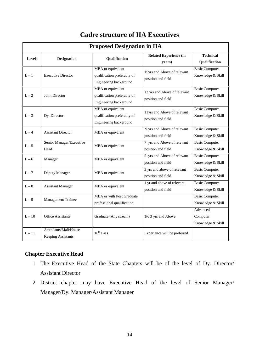|                                     | <b>Proposed Designation in IIA</b>                 |                                                                            |                                                    |                                            |  |
|-------------------------------------|----------------------------------------------------|----------------------------------------------------------------------------|----------------------------------------------------|--------------------------------------------|--|
| <b>Designation</b><br><b>Levels</b> |                                                    | <b>Qualification</b>                                                       | <b>Related Experience (in</b><br>years)            | <b>Technical</b><br>Qualification          |  |
| $L - 1$                             | <b>Executive Director</b>                          | MBA or equivalent<br>qualification preferably of<br>Engineering background | 15yrs and Above of relevant<br>position and field  | <b>Basic Computer</b><br>Knowledge & Skill |  |
| $L-2$                               | Joint Director                                     | MBA or equivalent<br>qualification preferably of<br>Engineering background | 13 yrs and Above of relevant<br>position and field | <b>Basic Computer</b><br>Knowledge & Skill |  |
| $L-3$                               | Dy. Director                                       | MBA or equivalent<br>qualification preferably of<br>Engineering background | 11yrs and Above of relevant<br>position and field  | <b>Basic Computer</b><br>Knowledge & Skill |  |
| $L - 4$                             | <b>Assistant Director</b>                          | MBA or equivalent                                                          | 9 yrs and Above of relevant<br>position and field  | <b>Basic Computer</b><br>Knowledge & Skill |  |
| $L - 5$                             | Senior Manager/Executive<br>Head                   | MBA or equivalent                                                          | 7 yrs and Above of relevant<br>position and field  | <b>Basic Computer</b><br>Knowledge & Skill |  |
| $L - 6$                             | Manager                                            | MBA or equivalent                                                          | 5 yrs and Above of relevant<br>position and field  | <b>Basic Computer</b><br>Knowledge & Skill |  |
| $L - 7$                             | Deputy Manager                                     | MBA or equivalent                                                          | 3 yrs and above of relevant<br>position and field  | <b>Basic Computer</b><br>Knowledge & Skill |  |
| $L-8$                               | <b>Assistant Manager</b>                           | MBA or equivalent                                                          | 1 yr and above of relevant<br>position and field   | <b>Basic Computer</b><br>Knowledge & Skill |  |
| $L - 9$                             | <b>Management Trainee</b>                          | MBA or with Post Graduate<br>professional qualification                    |                                                    | <b>Basic Computer</b><br>Knowledge & Skill |  |
| $L - 10$                            | <b>Office Assistants</b>                           | Graduate (Any stream)                                                      | 1to 3 yrs and Above                                | Advanced<br>Computer<br>Knowledge & Skill  |  |
| $L - 11$                            | Attendants/Mali/House<br><b>Keeping Assistants</b> | $10^{th}$ Pass                                                             | Experience will be preferred                       |                                            |  |

# **Cadre structure of IIA Executives**

#### **Chapter Executive Head**

- 1. The Executive Head of the State Chapters will be of the level of Dy. Director/ Assistant Director
- 2. District chapter may have Executive Head of the level of Senior Manager/ Manager/Dy. Manager/Assistant Manager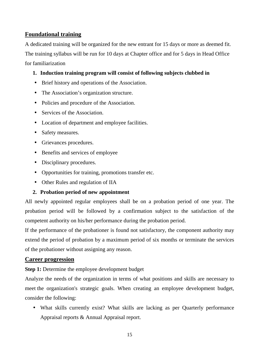## **Foundational training**

A dedicated training will be organized for the new entrant for 15 days or more as deemed fit. The training syllabus will be run for 10 days at Chapter office and for 5 days in Head Office for familiarization

#### **1. Induction training program will consist of following subjects clubbed in**

- Brief history and operations of the Association.
- The Association's organization structure.
- Policies and procedure of the Association.
- Services of the Association.
- Location of department and employee facilities.
- Safety measures.
- Grievances procedures.
- Benefits and services of employee
- Disciplinary procedures.
- Opportunities for training, promotions transfer etc.
- Other Rules and regulation of IIA

#### **2. Probation period of new appointment**

All newly appointed regular employees shall be on a probation period of one year. The probation period will be followed by a confirmation subject to the satisfaction of the competent authority on his/her performance during the probation period.

If the performance of the probationer is found not satisfactory, the component authority may extend the period of probation by a maximum period of six months or terminate the services of the probationer without assigning any reason.

#### **Career progression**

**Step 1:** Determine the employee development budget

Analyze the needs of the organization in terms of what positions and skills are necessary to meet the organization's strategic goals. When creating an employee development budget, consider the following:

 What skills currently exist? What skills are lacking as per Quarterly performance Appraisal reports & Annual Appraisal report.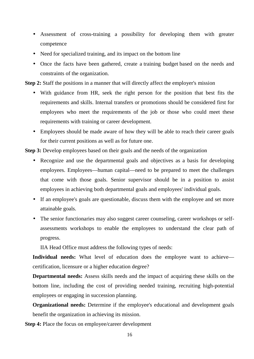- Assessment of cross-training a possibility for developing them with greater competence
- Need for specialized training, and its impact on the bottom line
- Once the facts have been gathered, create a training budget based on the needs and constraints of the organization.

**Step 2:** Staff the positions in a manner that will directly affect the employer's mission

- With guidance from HR, seek the right person for the position that best fits the requirements and skills. Internal transfers or promotions should be considered first for employees who meet the requirements of the job or those who could meet these requirements with training or career development.
- Employees should be made aware of how they will be able to reach their career goals for their current positions as well as for future one.

**Step 3:** Develop employees based on their goals and the needs of the organization

- Recognize and use the departmental goals and objectives as a basis for developing employees. Employees—human capital—need to be prepared to meet the challenges that come with those goals. Senior supervisor should be in a position to assist employees in achieving both departmental goals and employees' individual goals.
- If an employee's goals are questionable, discuss them with the employee and set more attainable goals.
- The senior functionaries may also suggest career counseling, career workshops or self assessments workshops to enable the employees to understand the clear path of progress.

IIA Head Office must address the following types of needs:

**Individual needs:** What level of education does the employee want to achieve certification, licensure or a higher education degree?

**Departmental needs:** Assess skills needs and the impact of acquiring these skills on the bottom line, including the cost of providing needed training, recruiting high-potential employees or engaging in succession planning.

**Organizational needs:** Determine if the employee's educational and development goals benefit the organization in achieving its mission.

**Step 4:** Place the focus on employee/career development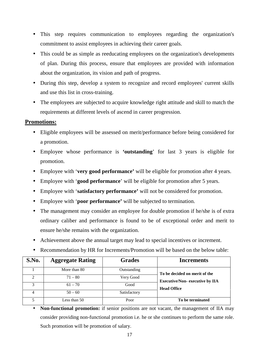- This step requires communication to employees regarding the organization's commitment to assist employees in achieving their career goals.
- This could be as simple as reeducating employees on the organization's developments of plan. During this process, ensure that employees are provided with information about the organization, its vision and path of progress.
- During this step, develop a system to recognize and record employees' current skills and use this list in cross-training.
- The employees are subjected to acquire knowledge right attitude and skill to match the requirements at different levels of ascend in career progression.

#### **Promotions:**

- Eligible employees will be assessed on merit/performance before being considered for a promotion.
- Employee whose performance is **'outstanding**' for last 3 years is eligible for promotion.
- Employee with '**very good performance'** will be eligible for promotion after 4 years.
- Employee with '**good performance**' will be eligible for promotion after 5 years.
- Employee with '**satisfactory performance'** will not be considered for promotion.
- Employee with '**poor performance'** will be subjected to termination.
- The management may consider an employee for double promotion if he/she is of extra ordinary caliber and performance is found to be of exceptional order and merit to ensure he/she remains with the organization.
- Achievement above the annual target may lead to special incentives or increment.
- Recommendation by HR for Increments/Promotion will be based on the below table:

| S.No. | <b>Aggregate Rating</b> | <b>Grades</b> | <b>Increments</b>                      |
|-------|-------------------------|---------------|----------------------------------------|
|       | More than 80            | Outstanding   | To be decided on merit of the          |
|       | $71 - 80$               | Very Good     | <b>Executive/Non- executive by IIA</b> |
| 3     | $61 - 70$               | Good          | <b>Head Office</b>                     |
|       | $50 - 60$               | Satisfactory  |                                        |
|       | Less than 50            | Poor          | To be terminated                       |

 **Non-functional promotion:** if senior positions are not vacant, the management of IIA may consider providing non-functional promotion i.e. he or she continues to perform the same role. Such promotion will be promotion of salary.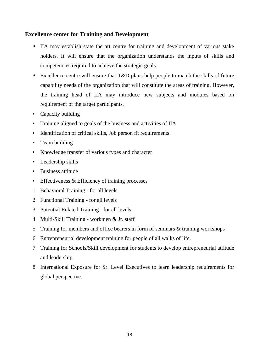#### **Excellence center for Training and Development**

- IIA may establish state the art centre for training and development of various stake holders. It will ensure that the organization understands the inputs of skills and competencies required to achieve the strategic goals.
- Excellence centre will ensure that T&D plans help people to match the skills of future capability needs of the organization that will constitute the areas of training. However, the training head of IIA may introduce new subjects and modules based on requirement of the target participants.
- Capacity building
- Training aligned to goals of the business and activities of IIA
- Identification of critical skills, Job person fit requirements.
- Team building
- Knowledge transfer of various types and character
- Leadership skills
- Business attitude
- Effectiveness & Efficiency of training processes
- 1. Behavioral Training for all levels
- 2. Functional Training for all levels
- 3. Potential Related Training for all levels
- 4. Multi-Skill Training workmen & Jr. staff
- 5. Training for members and office bearers in form of seminars & training workshops
- 6. Entrepreneurial development training for people of all walks of life.
- 7. Training for Schools/Skill development for students to develop entrepreneurial attitude and leadership.
- 8. International Exposure for Sr. Level Executives to learn leadership requirements for global perspective.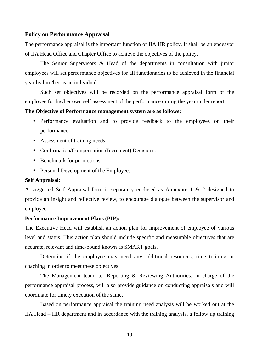#### **Policy on Performance Appraisal**

The performance appraisal is the important function of IIA HR policy. It shall be an endeavor of IIA Head Office and Chapter Office to achieve the objectives of the policy.

The Senior Supervisors & Head of the departments in consultation with junior employees will set performance objectives for all functionaries to be achieved in the financial year by him/her as an individual.

Such set objectives will be recorded on the performance appraisal form of the employee for his/her own self assessment of the performance during the year under report.

#### **The Objective of Performance management system are as follows:**

- Performance evaluation and to provide feedback to the employees on their performance.
- Assessment of training needs.
- Confirmation/Compensation (Increment) Decisions.
- Benchmark for promotions.
- Personal Development of the Employee.

#### **Self Appraisal:**

A suggested Self Appraisal form is separately enclosed as Annexure 1 & 2 designed to provide an insight and reflective review, to encourage dialogue between the supervisor and employee.

#### **Performance Improvement Plans (PIP):**

The Executive Head will establish an action plan for improvement of employee of various level and status. This action plan should include specific and measurable objectives that are accurate, relevant and time-bound known as SMART goals.

Determine if the employee may need any additional resources, time training or coaching in order to meet these objectives.

The Management team i.e. Reporting & Reviewing Authorities, in charge of the performance appraisal process, will also provide guidance on conducting appraisals and will coordinate for timely execution of the same.

Based on performance appraisal the training need analysis will be worked out at the IIA Head – HR department and in accordance with the training analysis, a follow up training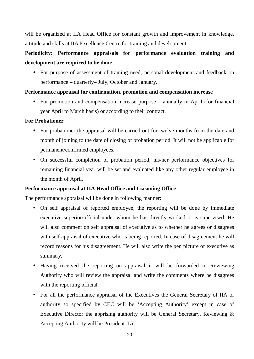will be organized at IIA Head Office for constant growth and improvement in knowledge, attitude and skills at IIA Excellence Centre for training and development.

# **Periodicity: Performance appraisals for performance evaluation training and development are required to be done**

• For purpose of assessment of training need, personal development and feedback on performance – quarterly– July, October and January.

#### **Performance appraisal for confirmation, promotion and compensation increase**

 For promotion and compensation increase purpose – annually in April (for financial year April to March basis) or according to their contract.

#### **For Probationer**

- For probationer the appraisal will be carried out for twelve months from the date and month of joining to the date of closing of probation period. It will not be applicable for permanent/confirmed employees.
- On successful completion of probation period, his/her performance objectives for remaining financial year will be set and evaluated like any other regular employee in the month of April.

#### **Performance appraisal at IIA Head Office and Liasoning Office**

The performance appraisal will be done in following manner:

- On self appraisal of reported employee, the reporting will be done by immediate executive superior/official under whom he has directly worked or is supervised. He will also comment on self appraisal of executive as to whether he agrees or disagrees with self appraisal of executive who is being reported. In case of disagreement he will record reasons for his disagreement. He will also write the pen picture of executive as summary.
- Having received the reporting on appraisal it will be forwarded to Reviewing Authority who will review the appraisal and write the comments where he disagrees with the reporting official.
- For all the performance appraisal of the Executives the General Secretary of IIA or authority so specified by CEC will be 'Accepting Authority' except in case of Executive Director the apprising authority will be General Secretary, Reviewing & Accepting Authority will be President IIA.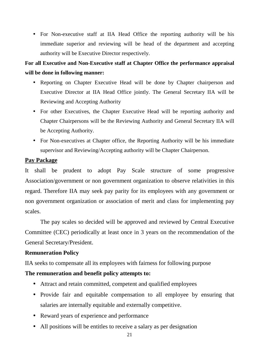• For Non-executive staff at IIA Head Office the reporting authority will be his immediate superior and reviewing will be head of the department and accepting authority will be Executive Director respectively.

# **For all Executive and Non-Executive staff at Chapter Office the performance appraisal will be done in following manner:**

- Reporting on Chapter Executive Head will be done by Chapter chairperson and Executive Director at IIA Head Office jointly. The General Secretary IIA will be Reviewing and Accepting Authority
- For other Executives, the Chapter Executive Head will be reporting authority and Chapter Chairpersons will be the Reviewing Authority and General Secretary IIA will be Accepting Authority.
- For Non-executives at Chapter office, the Reporting Authority will be his immediate supervisor and Reviewing/Accepting authority will be Chapter Chairperson.

#### **Pay Package**

It shall be prudent to adopt Pay Scale structure of some progressive Association/government or non government organization to observe relativities in this regard. Therefore IIA may seek pay parity for its employees with any government or non government organization or association of merit and class for implementing pay scales.

The pay scales so decided will be approved and reviewed by Central Executive Committee (CEC) periodically at least once in 3 years on the recommendation of the General Secretary/President.

#### **Remuneration Policy**

IIA seeks to compensate all its employees with fairness for following purpose

# **The remuneration and benefit policy attempts to:**

- Attract and retain committed, competent and qualified employees
- Provide fair and equitable compensation to all employee by ensuring that salaries are internally equitable and externally competitive.
- Reward years of experience and performance
- All positions will be entitles to receive a salary as per designation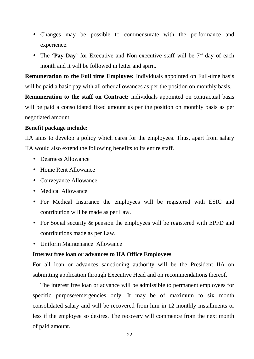- Changes may be possible to commensurate with the performance and experience.
- The **'Pay-Day'** for Executive and Non-executive staff will be  $7<sup>th</sup>$  day of each month and it will be followed in letter and spirit.

**Remuneration to the Full time Employee:** Individuals appointed on Full-time basis will be paid a basic pay with all other allowances as per the position on monthly basis.

**Remuneration to the staff on Contract:** individuals appointed on contractual basis will be paid a consolidated fixed amount as per the position on monthly basis as per negotiated amount.

#### **Benefit package include:**

IIA aims to develop a policy which cares for the employees. Thus, apart from salary IIA would also extend the following benefits to its entire staff.

- Dearness Allowance
- Home Rent Allowance
- Conveyance Allowance
- Medical Allowance
- For Medical Insurance the employees will be registered with ESIC and contribution will be made as per Law.
- For Social security  $\&$  pension the employees will be registered with EPFD and contributions made as per Law.
- Uniform Maintenance Allowance

#### **Interest free loan or advances to IIA Office Employees**

For all loan or advances sanctioning authority will be the President IIA on submitting application through Executive Head and on recommendations thereof.

The interest free loan or advance will be admissible to permanent employees for specific purpose/emergencies only. It may be of maximum to six month consolidated salary and will be recovered from him in 12 monthly installments or less if the employee so desires. The recovery will commence from the next month of paid amount.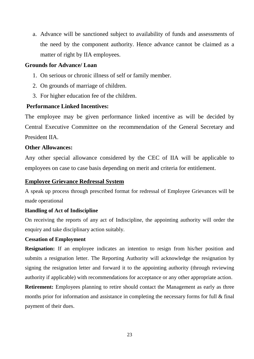a. Advance will be sanctioned subject to availability of funds and assessments of the need by the component authority. Hence advance cannot be claimed as a matter of right by IIA employees.

#### **Grounds for Advance/ Loan**

- 1. On serious or chronic illness of self or family member.
- 2. On grounds of marriage of children.
- 3. For higher education fee of the children.

#### **Performance Linked Incentives:**

The employee may be given performance linked incentive as will be decided by Central Executive Committee on the recommendation of the General Secretary and President IIA.

#### **Other Allowances:**

Any other special allowance considered by the CEC of IIA will be applicable to employees on case to case basis depending on merit and criteria for entitlement.

#### **Employee Grievance Redressal System**

A speak up process through prescribed format for redressal of Employee Grievances will be made operational

#### **Handling of Act of Indiscipline**

On receiving the reports of any act of Indiscipline, the appointing authority will order the enquiry and take disciplinary action suitably.

#### **Cessation of Employment**

**Resignation:** If an employee indicates an intention to resign from his/her position and submits a resignation letter. The Reporting Authority will acknowledge the resignation by signing the resignation letter and forward it to the appointing authority (through reviewing authority if applicable) with recommendations for acceptance or any other appropriate action.

**Retirement:** Employees planning to retire should contact the Management as early as three months prior for information and assistance in completing the necessary forms for full & final payment of their dues.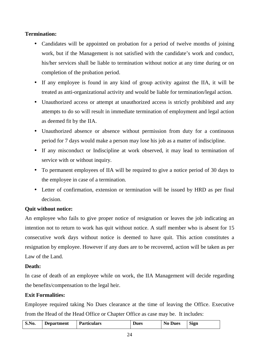#### **Termination:**

- Candidates will be appointed on probation for a period of twelve months of joining work, but if the Management is not satisfied with the candidate's work and conduct, his/her services shall be liable to termination without notice at any time during or on completion of the probation period.
- If any employee is found in any kind of group activity against the IIA, it will be treated as anti-organizational activity and would be liable for termination/legal action.
- Unauthorized access or attempt at unauthorized access is strictly prohibited and any attempts to do so will result in immediate termination of employment and legal action as deemed fit by the IIA.
- Unauthorized absence or absence without permission from duty for a continuous period for 7 days would make a person may lose his job as a matter of indiscipline.
- If any misconduct or Indiscipline at work observed, it may lead to termination of service with or without inquiry.
- To permanent employees of IIA will be required to give a notice period of 30 days to the employee in case of a termination.
- Letter of confirmation, extension or termination will be issued by HRD as per final decision.

#### **Quit without notice:**

An employee who fails to give proper notice of resignation or leaves the job indicating an intention not to return to work has quit without notice. A staff member who is absent for 15 consecutive work days without notice is deemed to have quit. This action constitutes a resignation by employee. However if any dues are to be recovered, action will be taken as per Law of the Land.

#### **Death:**

In case of death of an employee while on work, the IIA Management will decide regarding the benefits/compensation to the legal heir.

#### **Exit Formalities:**

Employee required taking No Dues clearance at the time of leaving the Office. Executive from the Head of the Head Office or Chapter Office as case may be. It includes:

| S.No. | <b>Department</b> | <b>Particulars</b> | <b>Dues</b> | <b>Dues</b><br>N <sub>0</sub> | $\sim$<br>Sign |
|-------|-------------------|--------------------|-------------|-------------------------------|----------------|
|-------|-------------------|--------------------|-------------|-------------------------------|----------------|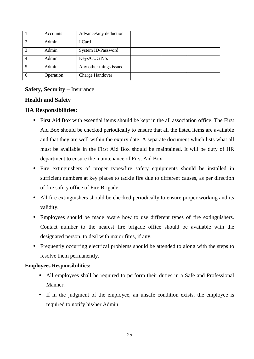|   | Accounts  | Advance/any deduction   |  |  |
|---|-----------|-------------------------|--|--|
|   | Admin     | I Card                  |  |  |
| 2 | Admin     | System ID/Password      |  |  |
|   | Admin     | Keys/CUG No.            |  |  |
|   | Admin     | Any other things issued |  |  |
|   | Operation | Charge Handover         |  |  |

# **Safety, Security –** Insurance

#### **Health and Safety**

#### **IIA Responsibilities:**

- First Aid Box with essential items should be kept in the all association office. The First Aid Box should be checked periodically to ensure that all the listed items are available and that they are well within the expiry date. A separate document which lists what all must be available in the First Aid Box should be maintained. It will be duty of HR department to ensure the maintenance of First Aid Box.
- Fire extinguishers of proper types/fire safety equipments should be installed in sufficient numbers at key places to tackle fire due to different causes, as per direction of fire safety office of Fire Brigade.
- All fire extinguishers should be checked periodically to ensure proper working and its validity.
- Employees should be made aware how to use different types of fire extinguishers. Contact number to the nearest fire brigade office should be available with the designated person, to deal with major fires, if any.
- Frequently occurring electrical problems should be attended to along with the steps to resolve them permanently.

#### **Employees Responsibilities:**

- All employees shall be required to perform their duties in a Safe and Professional Manner.
- If in the judgment of the employee, an unsafe condition exists, the employee is required to notify his/her Admin.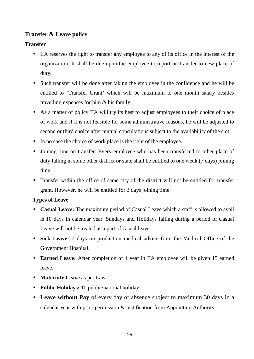## **Transfer & Leave policy**

#### **Transfer**

- IIA reserves the right to transfer any employee to any of its office in the interest of the organization. It shall be due upon the employee to report on transfer to new place of duty.
- Such transfer will be done after taking the employee in the confidence and he will be entitled to 'Transfer Grant' which will be maximum to one month salary besides travelling expenses for him & his family.
- As a matter of policy IIA will try its best to adjust employees to their choice of place of work and if it is not feasible for some administrative reasons, he will be adjusted to second or third choice after mutual consultations subject to the availability of the slot.
- In no case the choice of work place is the right of the employee.
- Joining time on transfer: Every employee who has been transferred to other place of duty falling in some other district or state shall be entitled to one week (7 days) joining time.
- Transfer within the office of same city of the district will not be entitled for transfer grant. However, he will be entitled for 3 days joining time.

#### **Types of Leave**

- **Casual Leave:** The maximum period of Casual Leave which a staff is allowed to avail is 10 days in calendar year. Sundays and Holidays falling during a period of Casual Leave will not be treated as a part of casual leave.
- **Sick Leave:** 7 days on production medical advice from the Medical Office of the Government Hospital.
- **Earned Leave:** After completion of 1 year in IIA employee will be given 15 earned leave.
- **Maternity Leave** as per Law.
- **Public Holidays:** 10 public/national holiday
- **Leave without Pay** of every day of absence subject to maximum 30 days in a calendar year with prior permission & justification from Appointing Authority.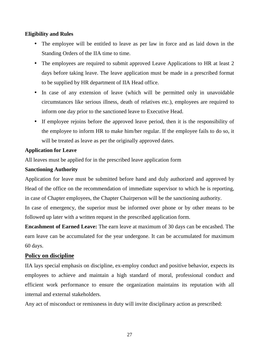#### **Eligibility and Rules**

- The employee will be entitled to leave as per law in force and as laid down in the Standing Orders of the IIA time to time.
- The employees are required to submit approved Leave Applications to HR at least 2 days before taking leave. The leave application must be made in a prescribed format to be supplied by HR department of IIA Head office.
- In case of any extension of leave (which will be permitted only in unavoidable circumstances like serious illness, death of relatives etc.), employees are required to inform one day prior to the sanctioned leave to Executive Head.
- If employee rejoins before the approved leave period, then it is the responsibility of the employee to inform HR to make him/her regular. If the employee fails to do so, it will be treated as leave as per the originally approved dates.

#### **Application for Leave**

All leaves must be applied for in the prescribed leave application form

#### **Sanctioning Authority**

Application for leave must be submitted before hand and duly authorized and approved by Head of the office on the recommendation of immediate supervisor to which he is reporting, in case of Chapter employees, the Chapter Chairperson will be the sanctioning authority.

In case of emergency, the superior must be informed over phone or by other means to be followed up later with a written request in the prescribed application form.

**Encashment of Earned Leave:** The earn leave at maximum of 30 days can be encashed. The earn leave can be accumulated for the year undergone. It can be accumulated for maximum 60 days.

#### **Policy on discipline**

IIA lays special emphasis on discipline, ex-employ conduct and positive behavior, expects its employees to achieve and maintain a high standard of moral, professional conduct and efficient work performance to ensure the organization maintains its reputation with all internal and external stakeholders.

Any act of misconduct or remissness in duty will invite disciplinary action as prescribed: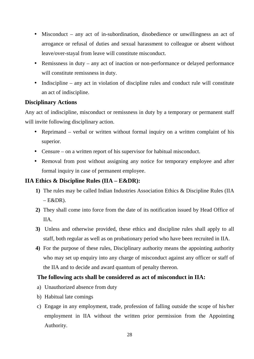- Misconduct any act of in-subordination, disobedience or unwillingness an act of arrogance or refusal of duties and sexual harassment to colleague or absent without leave/over-stayal from leave will constitute misconduct.
- Remissness in duty any act of inaction or non-performance or delayed performance will constitute remissness in duty.
- Indiscipline any act in violation of discipline rules and conduct rule will constitute an act of indiscipline.

#### **Disciplinary Actions**

Any act of indiscipline, misconduct or remissness in duty by a temporary or permanent staff will invite following disciplinary action.

- Reprimand verbal or written without formal inquiry on a written complaint of his superior.
- Censure on a written report of his supervisor for habitual misconduct.
- Removal from post without assigning any notice for temporary employee and after formal inquiry in case of permanent employee.

## **IIA Ethics & Discipline Rules (IIA – E&DR):**

- **1)** The rules may be called Indian Industries Association Ethics & Discipline Rules (IIA  $-E&DR$ ).
- **2)** They shall come into force from the date of its notification issued by Head Office of IIA.
- **3)** Unless and otherwise provided, these ethics and discipline rules shall apply to all staff, both regular as well as on probationary period who have been recruited in IIA.
- **4)** For the purpose of these rules, Disciplinary authority means the appointing authority who may set up enquiry into any charge of misconduct against any officer or staff of the IIA and to decide and award quantum of penalty thereon.

#### **The following acts shall be considered as act of misconduct in IIA:**

- a) Unauthorized absence from duty
- b) Habitual late comings
- c) Engage in any employment, trade, profession of falling outside the scope of his/her employment in IIA without the written prior permission from the Appointing Authority.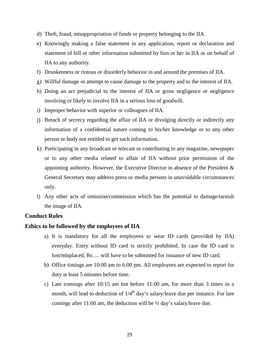- d) Theft, fraud, misappropriation of funds or property belonging to the IIA.
- e) Knowingly making a false statement in any application, report or declaration and statement of bill or other information submitted by him or her in IIA or on behalf of IIA to any authority.
- f) Drunkenness or riotous or disorderly behavior in and around the premises of IIA.
- g) Willful damage or attempt to cause damage to the property and to the interest of IIA.
- h) Doing an act prejudicial to the interest of IIA or gross negligence or negligence involving or likely to involve IIA in a serious loss of goodwill.
- i) Improper behavior with superior or colleagues of IIA.
- j) Breach of secrecy regarding the affair of IIA or divulging directly or indirectly any information of a confidential nature coming to his/her knowledge or to any other person or body not entitled to get such information.
- k) Participating in any broadcast or telecast or contributing to any magazine, newspaper or to any other media related to affair of IIA without prior permission of the appointing authority. However, the Executive Director in absence of the President & General Secretary may address press or media persons in unavoidable circumstances only.
- l) Any other acts of omission/commission which has the potential to damage/tarnish the image of IIA.

#### **Conduct Rules**

#### **Ethics to be followed by the employees of IIA**

- a) It is mandatory for all the employees to wear ID cards (provided by IIA) everyday. Entry without ID card is strictly prohibited. In case the ID card is lost/misplaced, Rs…. will have to be submitted for issuance of new ID card.
- b) Office timings are 10:00 am to 6:00 pm. All employees are expected to report for duty at least 5 minutes before time.
- c) Late comings after 10:15 am but before 11:00 am, for more than 3 times in a month, will lead to deduction of  $1/4<sup>th</sup>$  day's salary/leave due per instance. For late comings after 11:00 am, the deduction will be ½ day's salary/leave due.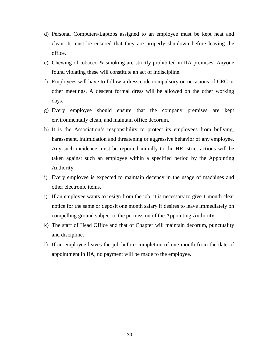- d) Personal Computers/Laptops assigned to an employee must be kept neat and clean. It must be ensured that they are properly shutdown before leaving the office.
- e) Chewing of tobacco & smoking are strictly prohibited in IIA premises. Anyone found violating these will constitute an act of indiscipline.
- f) Employees will have to follow a dress code compulsory on occasions of CEC or other meetings. A descent formal dress will be allowed on the other working days.
- g) Every employee should ensure that the company premises are kept environmentally clean, and maintain office decorum.
- h) It is the Association's responsibility to protect its employees from bullying, harassment, intimidation and threatening or aggressive behavior of any employee. Any such incidence must be reported initially to the HR. strict actions will be taken against such an employee within a specified period by the Appointing Authority.
- i) Every employee is expected to maintain decency in the usage of machines and other electronic items.
- j) If an employee wants to resign from the job, it is necessary to give 1 month clear notice for the same or deposit one month salary if desires to leave immediately on compelling ground subject to the permission of the Appointing Authority
- k) The staff of Head Office and that of Chapter will maintain decorum, punctuality and discipline.
- l) If an employee leaves the job before completion of one month from the date of appointment in IIA, no payment will be made to the employee.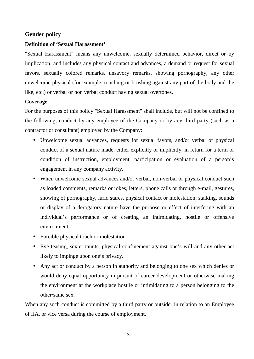#### **Gender policy**

#### **Definition of 'Sexual Harassment'**

"Sexual Harassment" means any unwelcome, sexually determined behavior, direct or by implication, and includes any physical contact and advances, a demand or request for sexual favors, sexually colored remarks, unsavory remarks, showing pornography, any other unwelcome physical (for example, touching or brushing against any part of the body and the like, etc.) or verbal or non verbal conduct having sexual overtones.

#### **Coverage**

For the purposes of this policy "Sexual Harassment" shall include, but will not be confined to the following, conduct by any employee of the Company or by any third party (such as a contractor or consultant) employed by the Company:

- Unwelcome sexual advances, requests for sexual favors, and/or verbal or physical conduct of a sexual nature made, either explicitly or implicitly, in return for a term or condition of instruction, employment, participation or evaluation of a person's engagement in any company activity.
- When unwelcome sexual advances and/or verbal, non-verbal or physical conduct such as loaded comments, remarks or jokes, letters, phone calls or through e-mail, gestures, showing of pornography, lurid stares, physical contact or molestation, stalking, sounds or display of a derogatory nature have the purpose or effect of interfering with an individual's performance or of creating an intimidating, hostile or offensive environment.
- Forcible physical touch or molestation.
- Eve teasing, sexier taunts, physical confinement against one's will and any other act likely to impinge upon one's privacy.
- Any act or conduct by a person in authority and belonging to one sex which denies or would deny equal opportunity in pursuit of career development or otherwise making the environment at the workplace hostile or intimidating to a person belonging to the other/same sex.

When any such conduct is committed by a third party or outsider in relation to an Employee of IIA, or vice versa during the course of employment.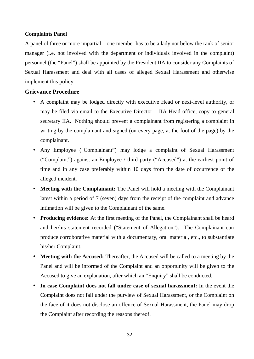#### **Complaints Panel**

A panel of three or more impartial – one member has to be a lady not below the rank of senior manager (i.e. not involved with the department or individuals involved in the complaint) personnel (the "Panel") shall be appointed by the President IIA to consider any Complaints of Sexual Harassment and deal with all cases of alleged Sexual Harassment and otherwise implement this policy.

#### **Grievance Procedure**

- A complaint may be lodged directly with executive Head or next-level authority, or may be filed via email to the Executive Director – IIA Head office, copy to general secretary IIA. Nothing should prevent a complainant from registering a complaint in writing by the complainant and signed (on every page, at the foot of the page) by the complainant.
- Any Employee ("Complainant") may lodge a complaint of Sexual Harassment ("Complaint") against an Employee / third party ("Accused") at the earliest point of time and in any case preferably within 10 days from the date of occurrence of the alleged incident.
- **Meeting with the Complainant:** The Panel will hold a meeting with the Complainant latest within a period of 7 (seven) days from the receipt of the complaint and advance intimation will be given to the Complainant of the same.
- **Producing evidence:** At the first meeting of the Panel, the Complainant shall be heard and her/his statement recorded ("Statement of Allegation"). The Complainant can produce corroborative material with a documentary, oral material, etc., to substantiate his/her Complaint.
- **Meeting with the Accused:** Thereafter, the Accused will be called to a meeting by the Panel and will be informed of the Complaint and an opportunity will be given to the Accused to give an explanation, after which an "Enquiry" shall be conducted.
- **In case Complaint does not fall under case of sexual harassment:** In the event the Complaint does not fall under the purview of Sexual Harassment, or the Complaint on the face of it does not disclose an offence of Sexual Harassment, the Panel may drop the Complaint after recording the reasons thereof.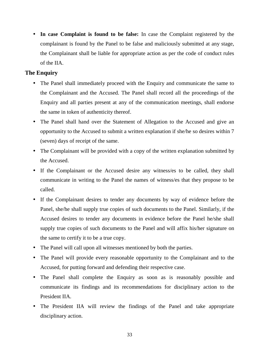**In case Complaint is found to be false:** In case the Complaint registered by the complainant is found by the Panel to be false and maliciously submitted at any stage, the Complainant shall be liable for appropriate action as per the code of conduct rules of the IIA.

#### **The Enquiry**

- The Panel shall immediately proceed with the Enquiry and communicate the same to the Complainant and the Accused. The Panel shall record all the proceedings of the Enquiry and all parties present at any of the communication meetings, shall endorse the same in token of authenticity thereof.
- The Panel shall hand over the Statement of Allegation to the Accused and give an opportunity to the Accused to submit a written explanation if she/he so desires within 7 (seven) days of receipt of the same.
- The Complainant will be provided with a copy of the written explanation submitted by the Accused.
- If the Complainant or the Accused desire any witness/es to be called, they shall communicate in writing to the Panel the names of witness/es that they propose to be called.
- If the Complainant desires to tender any documents by way of evidence before the Panel, she/he shall supply true copies of such documents to the Panel. Similarly, if the Accused desires to tender any documents in evidence before the Panel he/she shall supply true copies of such documents to the Panel and will affix his/her signature on the same to certify it to be a true copy.
- The Panel will call upon all witnesses mentioned by both the parties.
- The Panel will provide every reasonable opportunity to the Complainant and to the Accused, for putting forward and defending their respective case.
- The Panel shall complete the Enquiry as soon as is reasonably possible and communicate its findings and its recommendations for disciplinary action to the President IIA.
- The President IIA will review the findings of the Panel and take appropriate disciplinary action.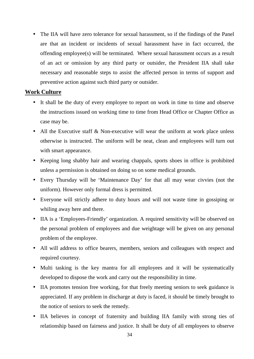• The IIA will have zero tolerance for sexual harassment, so if the findings of the Panel are that an incident or incidents of sexual harassment have in fact occurred, the offending employee(s) will be terminated. Where sexual harassment occurs as a result of an act or omission by any third party or outsider, the President IIA shall take necessary and reasonable steps to assist the affected person in terms of support and preventive action against such third party or outsider.

#### **Work Culture**

- It shall be the duty of every employee to report on work in time to time and observe the instructions issued on working time to time from Head Office or Chapter Office as case may be.
- All the Executive staff & Non-executive will wear the uniform at work place unless otherwise is instructed. The uniform will be neat, clean and employees will turn out with smart appearance.
- Keeping long shabby hair and wearing chappals, sports shoes in office is prohibited unless a permission is obtained on doing so on some medical grounds.
- Every Thursday will be 'Maintenance Day' for that all may wear civvies (not the uniform). However only formal dress is permitted.
- Everyone will strictly adhere to duty hours and will not waste time in gossiping or whiling away here and there.
- IIA is a 'Employees-Friendly' organization. A required sensitivity will be observed on the personal problem of employees and due weightage will be given on any personal problem of the employee.
- All will address to office bearers, members, seniors and colleagues with respect and required courtesy.
- Multi tasking is the key mantra for all employees and it will be systematically developed to dispose the work and carry out the responsibility in time.
- IIA promotes tension free working, for that freely meeting seniors to seek guidance is appreciated. If any problem in discharge at duty is faced, it should be timely brought to the notice of seniors to seek the remedy.
- IIA believes in concept of fraternity and building IIA family with strong ties of relationship based on fairness and justice. It shall be duty of all employees to observe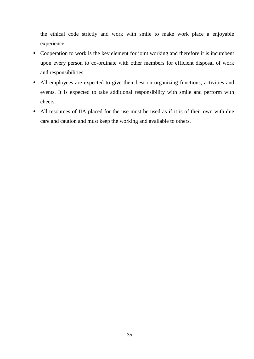the ethical code strictly and work with smile to make work place a enjoyable experience.

- Cooperation to work is the key element for joint working and therefore it is incumbent upon every person to co-ordinate with other members for efficient disposal of work and responsibilities.
- All employees are expected to give their best on organizing functions, activities and events. It is expected to take additional responsibility with smile and perform with cheers.
- All resources of IIA placed for the use must be used as if it is of their own with due care and caution and must keep the working and available to others.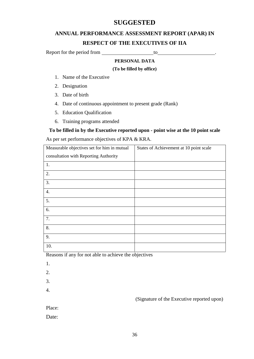# **SUGGESTED**

# **ANNUAL PERFORMANCE ASSESSMENT REPORT (APAR) IN RESPECT OF THE EXECUTIVES OF IIA**

Report for the period from <u>to</u>

#### **PERSONAL DATA**

#### **(To be filled by office)**

- 1. Name of the Executive
- 2. Designation
- 3. Date of birth
- 4. Date of continuous appointment to present grade (Rank)
- 5. Education Qualification
- 6. Training programs attended

#### **To be filled in by the Executive reported upon - point wise at the 10 point scale**

As per set performance objectives of KPA & KRA.

| Measurable objectives set for him in mutual | States of Achievement at 10 point scale |
|---------------------------------------------|-----------------------------------------|
| consultation with Reporting Authority       |                                         |
| 1.                                          |                                         |
| 2.                                          |                                         |
| 3.                                          |                                         |
| 4.                                          |                                         |
| 5.                                          |                                         |
| 6.                                          |                                         |
| 7.                                          |                                         |
| 8.                                          |                                         |
| 9.                                          |                                         |
| 10.                                         |                                         |

Reasons if any for not able to achieve the objectives

- 1.
- 2.
- 3.
- 4.

(Signature of the Executive reported upon)

Place:

Date: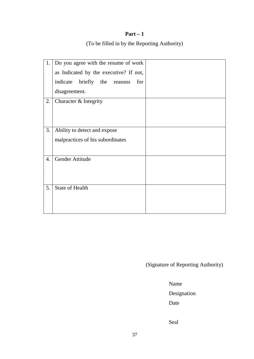(To be filled in by the Reporting Authority)

| 1. | Do you agree with the resume of work   |  |
|----|----------------------------------------|--|
|    | as Indicated by the executive? If not, |  |
|    | briefly the reasons<br>indicate<br>for |  |
|    | disagreement.                          |  |
| 2. | Character & Integrity                  |  |
|    |                                        |  |
|    |                                        |  |
| 3. | Ability to detect and expose           |  |
|    | malpractices of his subordinates       |  |
|    |                                        |  |
| 4. | Gender Attitude                        |  |
|    |                                        |  |
|    |                                        |  |
| 5. | <b>State of Health</b>                 |  |
|    |                                        |  |
|    |                                        |  |

(Signature of Reporting Authority)

Name

Designation

Date

Seal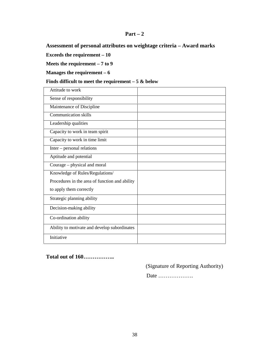**Assessment of personal attributes on weightage criteria – Award marks**

**Exceeds the requirement – 10**

**Meets the requirement – 7 to 9**

**Manages the requirement – 6**

**Finds difficult to meet the requirement – 5 & below**

| Attitude to work                               |  |
|------------------------------------------------|--|
| Sense of responsibility                        |  |
| Maintenance of Discipline                      |  |
| <b>Communication skills</b>                    |  |
| Leadership qualities                           |  |
| Capacity to work in team spirit                |  |
| Capacity to work in time limit                 |  |
| $Inter$ – personal relations                   |  |
| Aptitude and potential                         |  |
| Courage – physical and moral                   |  |
| Knowledge of Rules/Regulations/                |  |
| Procedures in the area of function and ability |  |
| to apply them correctly                        |  |
| Strategic planning ability                     |  |
| Decision-making ability                        |  |
| Co-ordination ability                          |  |
| Ability to motivate and develop subordinates   |  |
| Initiative                                     |  |

#### **Total out of 160……………..**

(Signature of Reporting Authority)

Date ……………….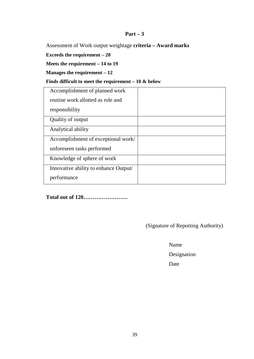Assessment of Work output weightage **criteria – Award marks**

**Exceeds the requirement – 20**

**Meets the requirement – 14 to 19**

**Manages the requirement – 12**

#### **Finds difficult to meet the requirement – 10 & below**

| Accomplishment of planned work        |  |
|---------------------------------------|--|
| routine work allotted as role and     |  |
| responsibility                        |  |
| Quality of output                     |  |
| Analytical ability                    |  |
| Accomplishment of exceptional work/   |  |
| unforeseen tasks performed            |  |
| Knowledge of sphere of work           |  |
| Innovative ability to enhance Output/ |  |
| performance                           |  |

**Total out of 120……………………**

(Signature of Reporting Authority)

Name

Designation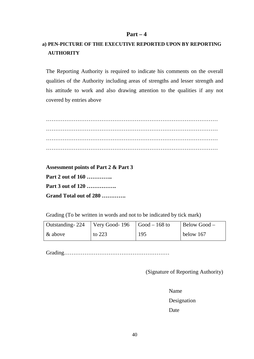# **a) PEN-PICTURE OF THE EXECUTIVE REPORTED UPON BY REPORTING AUTHORITY**

The Reporting Authority is required to indicate his comments on the overall qualities of the Authority including areas of strengths and lesser strength and his attitude to work and also drawing attention to the qualities if any not covered by entries above

………………………………………………………………………………… ………………………………………………………………………………… ………………………………………………………………………………… …………………………………………………………………………………

**Assessment points of Part 2 & Part 3 Part 2 out of 160 ………….. Part 3 out of 120 ……………. Grand Total out of 280 ………….**

Grading (To be written in words and not to be indicated by tick mark)

| Outstanding - 224 | $\sqrt{\frac{3600d-196}{1000d-168}}$ to |     | Below Good – |
|-------------------|-----------------------------------------|-----|--------------|
| & above           | to $223$                                | 195 | below 167    |

Grading…………………………………………………

(Signature of Reporting Authority)

Name

Designation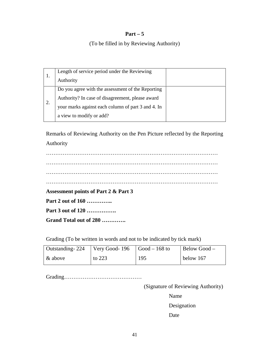#### (To be filled in by Reviewing Authority)

| Length of service period under the Reviewing       |  |
|----------------------------------------------------|--|
| Authority                                          |  |
| Do you agree with the assessment of the Reporting  |  |
| Authority? In case of disagreement, please award   |  |
| your marks against each column of part 3 and 4. In |  |
| a view to modify or add?                           |  |

Remarks of Reviewing Authority on the Pen Picture reflected by the Reporting Authority

………………………………………………………………………………… ………………………………………………………………………………… ………………………………………………………………………………… ………………………………………………………………………………… **Assessment points of Part 2 & Part 3 Part 2 out of 160 ………….. Part 3 out of 120 ……………. Grand Total out of 280 ………….**

Grading (To be written in words and not to be indicated by tick mark)

| Outstanding - 224 | $\sqrt{\frac{3600d-196}{196}}$ $\sqrt{\frac{360d-168t}{168}}$ |     | Below Good – |
|-------------------|---------------------------------------------------------------|-----|--------------|
| & above           | to $223$                                                      | 195 | below 167    |

Grading……………………………………

(Signature of Reviewing Authority)

Name

Designation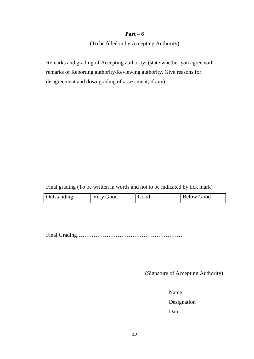(To be filled in by Accepting Authority)

Remarks and grading of Accepting authority: (state whether you agree with remarks of Reporting authority/Reviewing authority. Give reasons for disagreement and downgrading of assessment, if any)

Final grading (To be written in words and not to be indicated by tick mark)

| <b>Outstanding</b> | Very Good | boot | <b>Below Good</b> |
|--------------------|-----------|------|-------------------|
|--------------------|-----------|------|-------------------|

Final Grading…………………………………………………

(Signature of Accepting Authority)

Name

Designation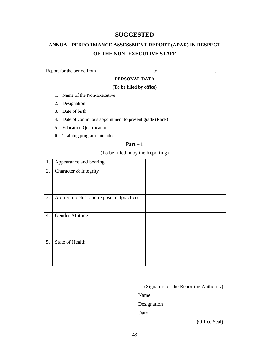#### **SUGGESTED**

# **ANNUAL PERFORMANCE ASSESSMENT REPORT (APAR) IN RESPECT OF THE NON- EXECUTIVE STAFF**

Report for the period from to .

#### **PERSONAL DATA**

#### **(To be filled by office)**

- 1. Name of the Non-Executive
- 2. Designation
- 3. Date of birth
- 4. Date of continuous appointment to present grade (Rank)
- 5. Education Qualification
- 6. Training programs attended

#### **Part – 1**

# (To be filled in by the Reporting)

| 1.               | Appearance and bearing                    |  |
|------------------|-------------------------------------------|--|
| 2.               | Character & Integrity                     |  |
| 3.               | Ability to detect and expose malpractices |  |
| $\overline{4}$ . | Gender Attitude                           |  |
| 5.               | <b>State of Health</b>                    |  |

(Signature of the Reporting Authority)

Name

Designation

Date

(Office Seal)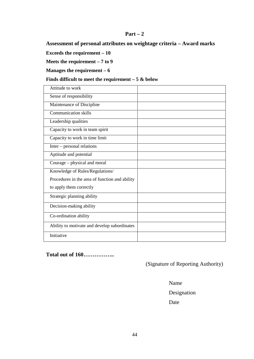**Assessment of personal attributes on weightage criteria – Award marks**

**Exceeds the requirement – 10**

**Meets the requirement – 7 to 9**

**Manages the requirement – 6**

#### **Finds difficult to meet the requirement – 5 & below**

| Attitude to work                               |  |
|------------------------------------------------|--|
| Sense of responsibility                        |  |
| Maintenance of Discipline                      |  |
| <b>Communication skills</b>                    |  |
| Leadership qualities                           |  |
| Capacity to work in team spirit                |  |
| Capacity to work in time limit                 |  |
| Inter – personal relations                     |  |
| Aptitude and potential                         |  |
| Courage – physical and moral                   |  |
| Knowledge of Rules/Regulations/                |  |
| Procedures in the area of function and ability |  |
| to apply them correctly                        |  |
| Strategic planning ability                     |  |
| Decision-making ability                        |  |
| Co-ordination ability                          |  |
| Ability to motivate and develop subordinates   |  |
| Initiative                                     |  |

## **Total out of 160……………..**

(Signature of Reporting Authority)

Name

Designation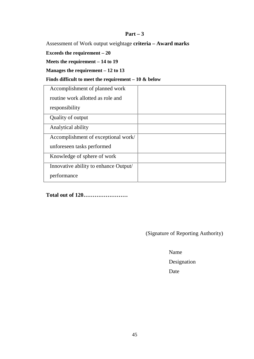Assessment of Work output weightage **criteria – Award marks**

**Exceeds the requirement – 20**

**Meets the requirement – 14 to 19**

**Manages the requirement – 12 to 13**

#### **Finds difficult to meet the requirement – 10 & below**

| Accomplishment of planned work        |  |
|---------------------------------------|--|
| routine work allotted as role and     |  |
| responsibility                        |  |
| Quality of output                     |  |
| Analytical ability                    |  |
| Accomplishment of exceptional work/   |  |
| unforeseen tasks performed            |  |
| Knowledge of sphere of work           |  |
| Innovative ability to enhance Output/ |  |
| performance                           |  |

**Total out of 120……………………**

(Signature of Reporting Authority)

Name

Designation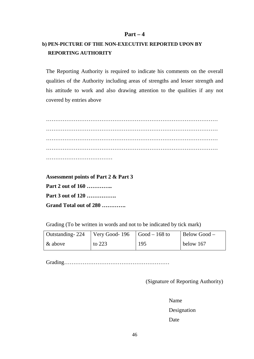# **b) PEN-PICTURE OF THE NON-EXECUTIVE REPORTED UPON BY REPORTING AUTHORITY**

The Reporting Authority is required to indicate his comments on the overall qualities of the Authority including areas of strengths and lesser strength and his attitude to work and also drawing attention to the qualities if any not covered by entries above

………………………………………………………………………………… ………………………………………………………………………………… ………………………………………………………………………………… ………………………………………………………………………………… ………………………………

**Assessment points of Part 2 & Part 3 Part 2 out of 160 ………….. Part 3 out of 120 ……………. Grand Total out of 280 ………….**

Grading (To be written in words and not to be indicated by tick mark)

| Outstanding - 224 | Very Good-196 $\vert$ Good – 168 to |     | Below Good – |  |
|-------------------|-------------------------------------|-----|--------------|--|
| $\&$ above        | to $223$                            | 195 | below 167    |  |

Grading…………………………………………………

(Signature of Reporting Authority)

Name

Designation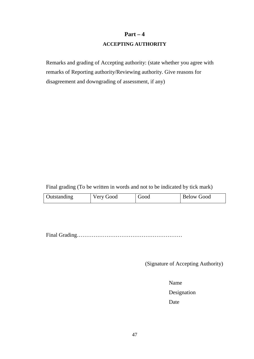#### **ACCEPTING AUTHORITY**

Remarks and grading of Accepting authority: (state whether you agree with remarks of Reporting authority/Reviewing authority. Give reasons for disagreement and downgrading of assessment, if any)

Final grading (To be written in words and not to be indicated by tick mark)

| <b>Outstanding</b> | Very Good | boot | <b>Below Good</b> |
|--------------------|-----------|------|-------------------|
|--------------------|-----------|------|-------------------|

Final Grading…………………………………………………

(Signature of Accepting Authority)

Name

Designation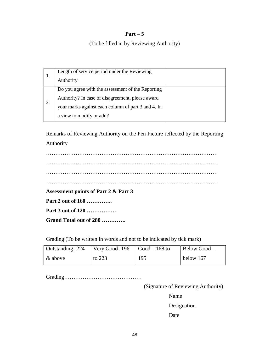#### (To be filled in by Reviewing Authority)

| Length of service period under the Reviewing       |  |
|----------------------------------------------------|--|
| Authority                                          |  |
| Do you agree with the assessment of the Reporting  |  |
| Authority? In case of disagreement, please award   |  |
| your marks against each column of part 3 and 4. In |  |
| a view to modify or add?                           |  |

Remarks of Reviewing Authority on the Pen Picture reflected by the Reporting Authority

………………………………………………………………………………… ………………………………………………………………………………… ………………………………………………………………………………… ………………………………………………………………………………… **Assessment points of Part 2 & Part 3 Part 2 out of 160 ………….. Part 3 out of 120 ……………. Grand Total out of 280 ………….**

Grading (To be written in words and not to be indicated by tick mark)

| Outstanding - 224 | $\sqrt{\frac{3600d-196}{196}}$ $\sqrt{\frac{360d-168t}{168}}$ |     | Below Good – |
|-------------------|---------------------------------------------------------------|-----|--------------|
| & above           | to $223$                                                      | 195 | below 167    |

Grading……………………………………

(Signature of Reviewing Authority)

Name

Designation